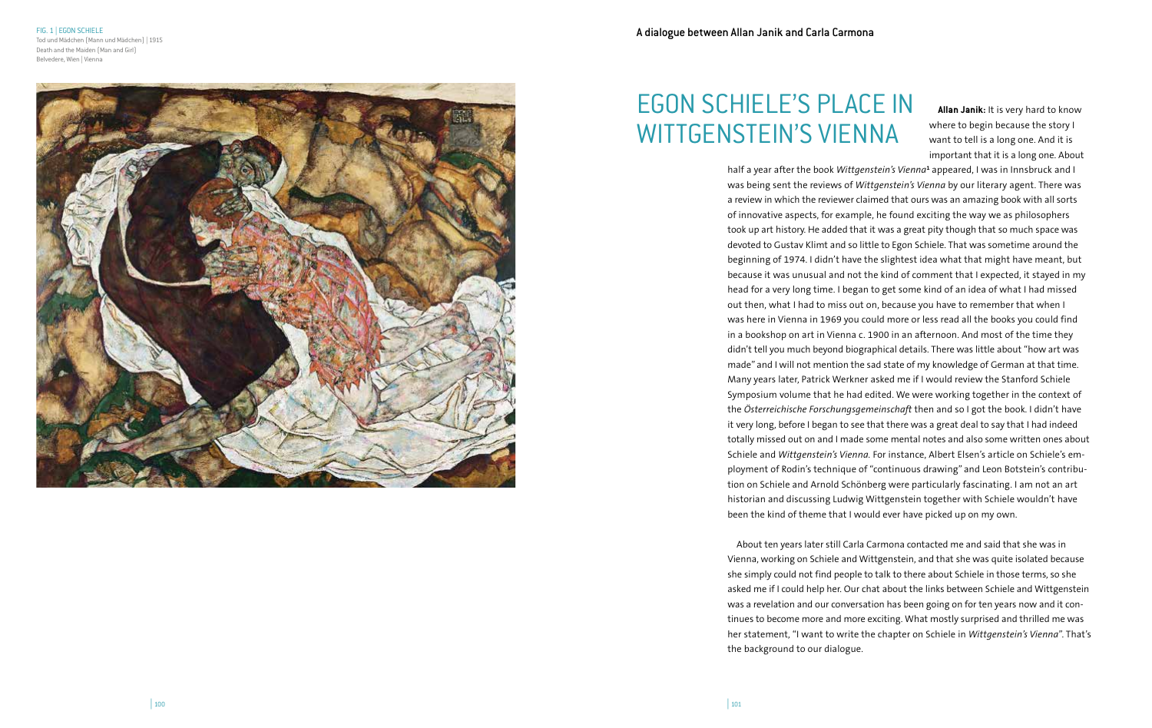FIG. 1 | EGON SCHIELE Tod und Mädchen (Mann und Mädchen) | 1915 Death and the Maiden (Man and Girl) Belvedere, Wien | Vienna

# EGON SCHIELE'S PLACE IN WITTGENSTEIN'S VIENNA

| <sup>101</sup>

**Allan Janik:** It is very hard to know where to begin because the story I want to tell is a long one. And it is important that it is a long one. About

half a year after the book *Wittgenstein's Vienna*<sup>1</sup> appeared, I was in Innsbruck and I was being sent the reviews of *Wittgenstein's Vienna* by our literary agent. There was a review in which the reviewer claimed that ours was an amazing book with all sorts of innovative aspects, for example, he found exciting the way we as philosophers took up art history. He added that it was a great pity though that so much space was devoted to Gustav Klimt and so little to Egon Schiele. That was sometime around the beginning of 1974. I didn't have the slightest idea what that might have meant, but because it was unusual and not the kind of comment that I expected, it stayed in my head for a very long time. I began to get some kind of an idea of what I had missed out then, what I had to miss out on, because you have to remember that when I was here in Vienna in 1969 you could more or less read all the books you could find in a bookshop on art in Vienna c. 1900 in an afternoon. And most of the time they didn't tell you much beyond biographical details. There was little about "how art was made" and I will not mention the sad state of my knowledge of German at that time. Many years later, Patrick Werkner asked me if I would review the Stanford Schiele Symposium volume that he had edited. We were working together in the context of the *Österreichische Forschungsgemeinschaft* then and so I got the book. I didn't have it very long, before I began to see that there was a great deal to say that I had indeed totally missed out on and I made some mental notes and also some written ones about Schiele and *Wittgenstein's Vienna.* For instance, Albert Elsen's article on Schiele's em ployment of Rodin's technique of "continuous drawing" and Leon Botstein's contribu tion on Schiele and Arnold Schönberg were particularly fascinating. I am not an art historian and discussing Ludwig Wittgenstein together with Schiele wouldn't have been the kind of theme that I would ever have picked up on my own.

About ten years later still Carla Carmona contacted me and said that she was in Vienna, working on Schiele and Wittgenstein, and that she was quite isolated because she simply could not find people to talk to there about Schiele in those terms, so she asked me if I could help her. Our chat about the links between Schiele and Wittgenstein was a revelation and our conversation has been going on for ten years now and it con tinues to become more and more exciting. What mostly surprised and thrilled me was her statement, "I want to write the chapter on Schiele in *Wittgenstein's Vienna*". That's the background to our dialogue.

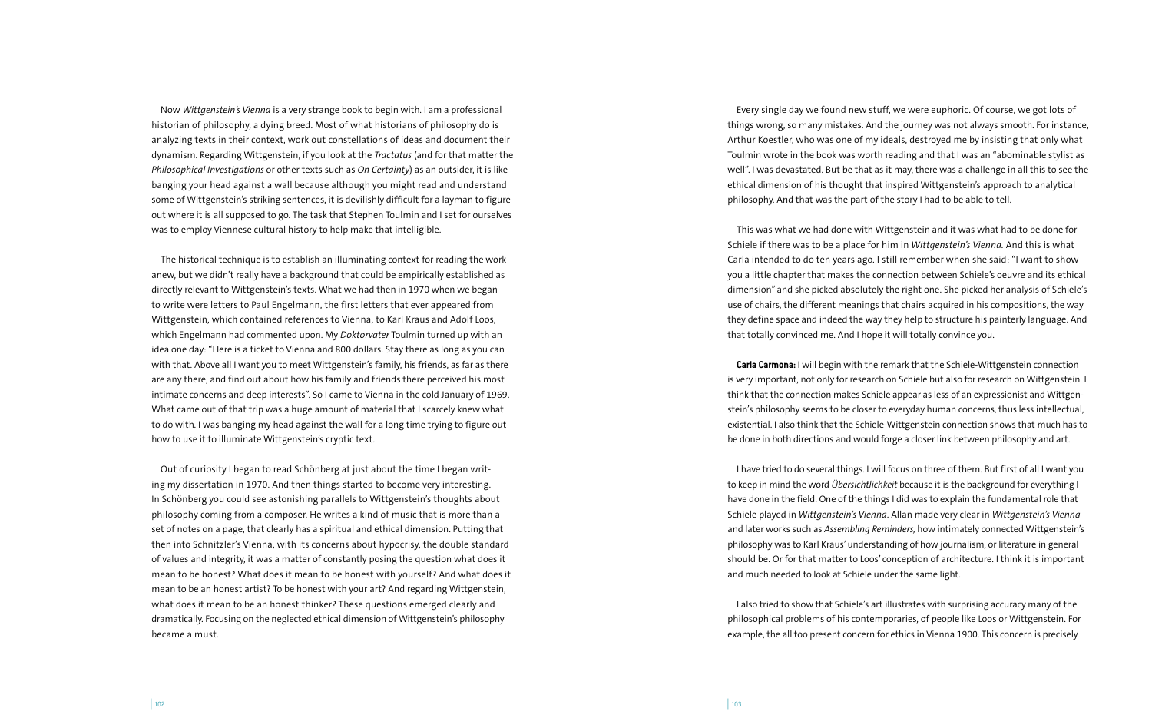Now *Wittgenstein's Vienna* is a very strange book to begin with. I am a professional historian of philosophy, a dying breed. Most of what historians of philosophy do is analyzing texts in their context, work out constellations of ideas and document their dynamism. Regarding Wittgenstein, if you look at the *Tractatus* (and for that matter the *Philosophical Investigations* or other texts such as *On Certainty*) as an outsider, it is like banging your head against a wall because although you might read and understand some of Wittgenstein's striking sentences, it is devilishly difficult for a layman to figure out where it is all supposed to go. The task that Stephen Toulmin and I set for ourselves was to employ Viennese cultural history to help make that intelligible.

The historical technique is to establish an illuminating context for reading the work anew, but we didn't really have a background that could be empirically established as directly relevant to Wittgenstein's texts. What we had then in 1970 when we began to write were letters to Paul Engelmann, the first letters that ever appeared from Wittgenstein, which contained references to Vienna, to Karl Kraus and Adolf Loos, which Engelmann had commented upon. My *Doktorvater* Toulmin turned up with an idea one day: "Here is a ticket to Vienna and 800 dollars. Stay there as long as you can with that. Above all I want you to meet Wittgenstein's family, his friends, as far as there are any there, and find out about how his family and friends there perceived his most intimate concerns and deep interests". So I came to Vienna in the cold January of 1969. What came out of that trip was a huge amount of material that I scarcely knew what to do with. I was banging my head against the wall for a long time trying to figure out how to use it to illuminate Wittgenstein's cryptic text.

Out of curiosity I began to read Schönberg at just about the time I began writing my dissertation in 1970. And then things started to become very interesting. In Schönberg you could see astonishing parallels to Wittgenstein's thoughts about philosophy coming from a composer. He writes a kind of music that is more than a set of notes on a page, that clearly has a spiritual and ethical dimension. Putting that then into Schnitzler's Vienna, with its concerns about hypocrisy, the double standard of values and integrity, it was a matter of constantly posing the question what does it mean to be honest? What does it mean to be honest with yourself? And what does it mean to be an honest artist? To be honest with your art? And regarding Wittgenstein, what does it mean to be an honest thinker? These questions emerged clearly and dramatically. Focusing on the neglected ethical dimension of Wittgenstein's philosophy became a must.

Every single day we found new stuff, we were euphoric. Of course, we got lots of things wrong, so many mistakes. And the journey was not always smooth. For instance, Arthur Koestler, who was one of my ideals, destroyed me by insisting that only what Toulmin wrote in the book was worth reading and that I was an "abominable stylist as well". I was devastated. But be that as it may, there was a challenge in all this to see the ethical dimension of his thought that inspired Wittgenstein's approach to analytical philosophy. And that was the part of the story I had to be able to tell.

This was what we had done with Wittgenstein and it was what had to be done for Schiele if there was to be a place for him in *Wittgenstein's Vienna.* And this is what Carla intended to do ten years ago. I still remember when she said: "I want to show you a little chapter that makes the connection between Schiele's oeuvre and its ethical dimension" and she picked absolutely the right one. She picked her analysis of Schiele's use of chairs, the different meanings that chairs acquired in his compositions, the way they define space and indeed the way they help to structure his painterly language. And that totally convinced me. And I hope it will totally convince you.

**Carla Carmona:** I will begin with the remark that the Schiele-Wittgenstein connection is very important, not only for research on Schiele but also for research on Wittgenstein. I think that the connection makes Schiele appear as less of an expressionist and Wittgenstein's philosophy seems to be closer to everyday human concerns, thus less intellectual, existential. I also think that the Schiele-Wittgenstein connection shows that much has to be done in both directions and would forge a closer link between philosophy and art.

I have tried to do several things. I will focus on three of them. But first of all I want you to keep in mind the word *Übersichtlichkeit* because it is the background for everything I have done in the field. One of the things I did was to explain the fundamental role that Schiele played in *Wittgenstein's Vienna*. Allan made very clear in *Wittgenstein's Vienna* and later works such as *Assembling Reminders,* how intimately connected Wittgenstein's philosophy was to Karl Kraus' understanding of how journalism, or literature in general should be. Or for that matter to Loos' conception of architecture. I think it is important and much needed to look at Schiele under the same light.

I also tried to show that Schiele's art illustrates with surprising accuracy many of the philosophical problems of his contemporaries, of people like Loos or Wittgenstein. For example, the all too present concern for ethics in Vienna 1900. This concern is precisely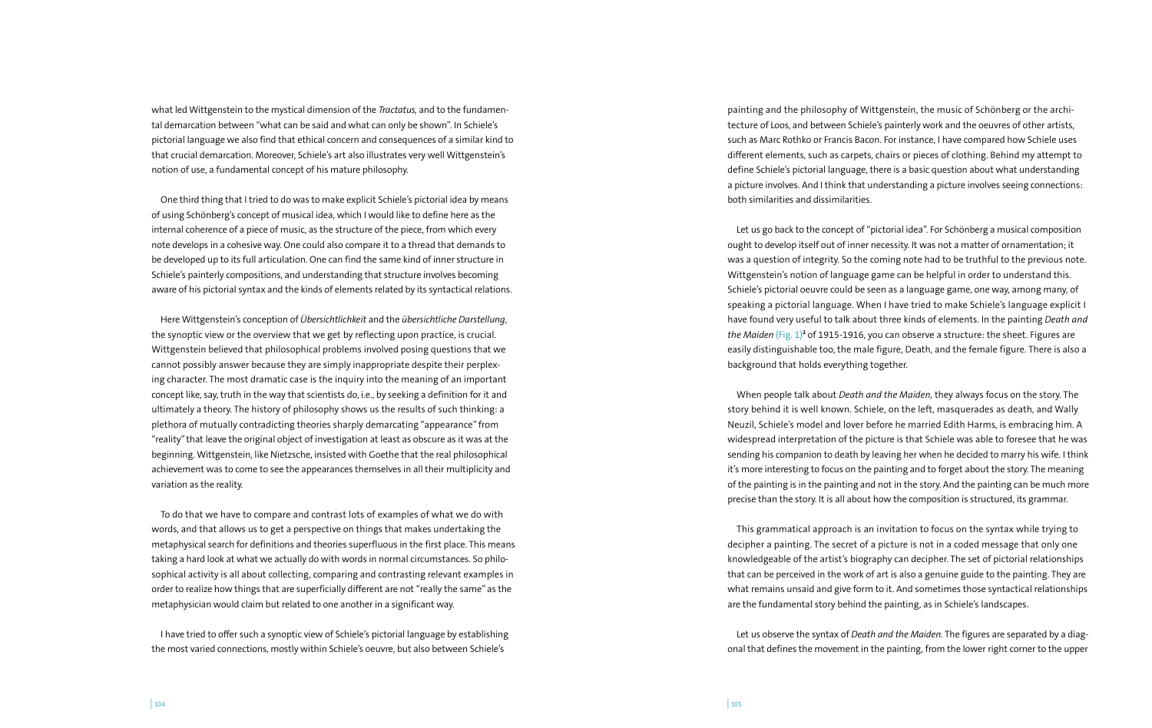what led Wittgenstein to the mystical dimension of the *Tractatus,* and to the fundamental demarcation between "what can be said and what can only be shown". In Schiele's pictorial language we also find that ethical concern and consequences of a similar kind to that crucial demarcation. Moreover, Schiele's art also illustrates very well Wittgenstein's notion of use, a fundamental concept of his mature philosophy.

One third thing that I tried to do was to make explicit Schiele's pictorial idea by means of using Schönberg's concept of musical idea, which I would like to define here as the internal coherence of a piece of music, as the structure of the piece, from which every note develops in a cohesive way. One could also compare it to a thread that demands to be developed up to its full articulation. One can find the same kind of inner structure in Schiele's painterly compositions, and understanding that structure involves becoming aware of his pictorial syntax and the kinds of elements related by its syntactical relations.

Here Wittgenstein's conception of *Übersichtlichkeit* and the *übersichtliche Darstellung,* the synoptic view or the overview that we get by reflecting upon practice, is crucial. Wittgenstein believed that philosophical problems involved posing questions that we cannot possibly answer because they are simply inappropriate despite their perplexing character. The most dramatic case is the inquiry into the meaning of an important concept like, say, truth in the way that scientists do, i.e., by seeking a definition for it and ultimately a theory. The history of philosophy shows us the results of such thinking: a plethora of mutually contradicting theories sharply demarcating "appearance" from "reality" that leave the original object of investigation at least as obscure as it was at the beginning. Wittgenstein, like Nietzsche, insisted with Goethe that the real philosophical achievement was to come to see the appearances themselves in all their multiplicity and variation as the reality.

To do that we have to compare and contrast lots of examples of what we do with words, and that allows us to get a perspective on things that makes undertaking the metaphysical search for definitions and theories superfluous in the first place. This means taking a hard look at what we actually do with words in normal circumstances. So philosophical activity is all about collecting, comparing and contrasting relevant examples in order to realize how things that are superficially different are not "really the same" as the metaphysician would claim but related to one another in a significant way.

I have tried to offer such a synoptic view of Schiele's pictorial language by establishing the most varied connections, mostly within Schiele's oeuvre, but also between Schiele's

painting and the philosophy of Wittgenstein, the music of Schönberg or the architecture of Loos, and between Schiele's painterly work and the oeuvres of other artists, such as Marc Rothko or Francis Bacon. For instance, I have compared how Schiele uses different elements, such as carpets, chairs or pieces of clothing. Behind my attempt to define Schiele's pictorial language, there is a basic question about what understanding a picture involves. And I think that understanding a picture involves seeing connections: both similarities and dissimilarities.

Let us go back to the concept of "pictorial idea". For Schönberg a musical composition ought to develop itself out of inner necessity. It was not a matter of ornamentation; it was a question of integrity. So the coming note had to be truthful to the previous note. Wittgenstein's notion of language game can be helpful in order to understand this. Schiele's pictorial oeuvre could be seen as a language game, one way, among many, of speaking a pictorial language. When I have tried to make Schiele's language explicit I have found very useful to talk about three kinds of elements. In the painting *Death and the Maiden* (Fig. 1)**<sup>2</sup>** of 1915-1916, you can observe a structure: the sheet. Figures are easily distinguishable too, the male figure, Death, and the female figure. There is also a background that holds everything together.

When people talk about *Death and the Maiden,* they always focus on the story. The story behind it is well known. Schiele, on the left, masquerades as death, and Wally Neuzil, Schiele's model and lover before he married Edith Harms, is embracing him. A widespread interpretation of the picture is that Schiele was able to foresee that he was sending his companion to death by leaving her when he decided to marry his wife. I think it's more interesting to focus on the painting and to forget about the story. The meaning of the painting is in the painting and not in the story. And the painting can be much more precise than the story. It is all about how the composition is structured, its grammar.

This grammatical approach is an invitation to focus on the syntax while trying to decipher a painting. The secret of a picture is not in a coded message that only one knowledgeable of the artist's biography can decipher. The set of pictorial relationships that can be perceived in the work of art is also a genuine guide to the painting. They are what remains unsaid and give form to it. And sometimes those syntactical relationships are the fundamental story behind the painting, as in Schiele's landscapes.

Let us observe the syntax of *Death and the Maiden.* The figures are separated by a diagonal that defines the movement in the painting, from the lower right corner to the upper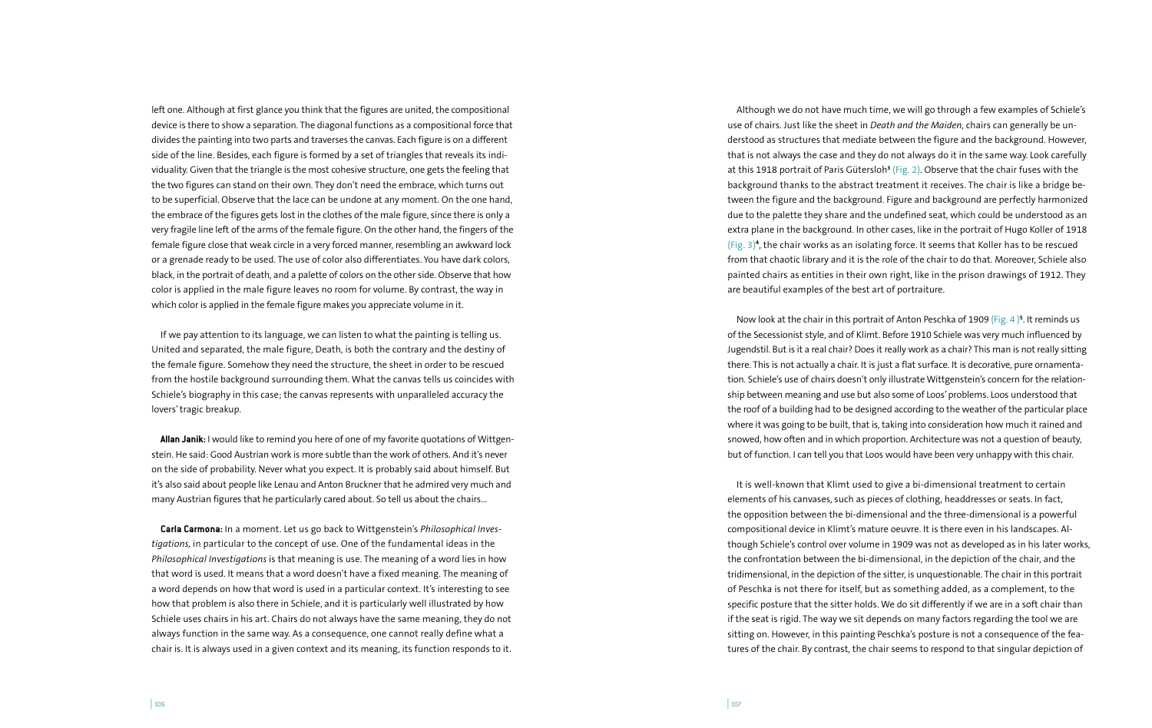left one. Although at first glance you think that the figures are united, the compositional device is there to show a separation. The diagonal functions as a compositional force that divides the painting into two parts and traverses the canvas. Each figure is on a different side of the line. Besides, each figure is formed by a set of triangles that reveals its individuality. Given that the triangle is the most cohesive structure, one gets the feeling that the two figures can stand on their own. They don't need the embrace, which turns out to be superficial. Observe that the lace can be undone at any moment. On the one hand, the embrace of the figures gets lost in the clothes of the male figure, since there is only a very fragile line left of the arms of the female figure. On the other hand, the fingers of the female figure close that weak circle in a very forced manner, resembling an awkward lock or a grenade ready to be used. The use of color also differentiates. You have dark colors, black, in the portrait of death, and a palette of colors on the other side. Observe that how color is applied in the male figure leaves no room for volume. By contrast, the way in which color is applied in the female figure makes you appreciate volume in it.

If we pay attention to its language, we can listen to what the painting is telling us. United and separated, the male figure, Death, is both the contrary and the destiny of the female figure. Somehow they need the structure, the sheet in order to be rescued from the hostile background surrounding them. What the canvas tells us coincides with Schiele's biography in this case; the canvas represents with unparalleled accuracy the lovers' tragic breakup.

**Allan Janik:** I would like to remind you here of one of my favorite quotations of Wittgenstein. He said: Good Austrian work is more subtle than the work of others. And it's never on the side of probability. Never what you expect. It is probably said about himself. But it's also said about people like Lenau and Anton Bruckner that he admired very much and many Austrian figures that he particularly cared about. So tell us about the chairs…

**Carla Carmona:** In a moment. Let us go back to Wittgenstein's *Philosophical Investigations,* in particular to the concept of use. One of the fundamental ideas in the *Philosophical Investigations* is that meaning is use. The meaning of a word lies in how that word is used. It means that a word doesn't have a fixed meaning. The meaning of a word depends on how that word is used in a particular context. It's interesting to see how that problem is also there in Schiele, and it is particularly well illustrated by how Schiele uses chairs in his art. Chairs do not always have the same meaning, they do not always function in the same way. As a consequence, one cannot really define what a chair is. It is always used in a given context and its meaning, its function responds to it.

Although we do not have much time, we will go through a few examples of Schiele's use of chairs. Just like the sheet in *Death and the Maiden,* chairs can generally be understood as structures that mediate between the figure and the background. However, that is not always the case and they do not always do it in the same way. Look carefully at this 1918 portrait of Paris Gütersloh**<sup>3</sup>** (Fig. 2). Observe that the chair fuses with the background thanks to the abstract treatment it receives. The chair is like a bridge between the figure and the background. Figure and background are perfectly harmonized due to the palette they share and the undefined seat, which could be understood as an extra plane in the background. In other cases, like in the portrait of Hugo Koller of 1918 (Fig. 3)**<sup>4</sup>** , the chair works as an isolating force. It seems that Koller has to be rescued from that chaotic library and it is the role of the chair to do that. Moreover, Schiele also painted chairs as entities in their own right, like in the prison drawings of 1912. They are beautiful examples of the best art of portraiture.

Now look at the chair in this portrait of Anton Peschka of 1909 (Fig. 4 )**<sup>5</sup>** . It reminds us of the Secessionist style, and of Klimt. Before 1910 Schiele was very much influenced by Jugendstil. But is it a real chair? Does it really work as a chair? This man is not really sitting there. This is not actually a chair. It is just a flat surface. It is decorative, pure ornamentation. Schiele's use of chairs doesn't only illustrate Wittgenstein's concern for the relationship between meaning and use but also some of Loos' problems. Loos understood that the roof of a building had to be designed according to the weather of the particular place where it was going to be built, that is, taking into consideration how much it rained and snowed, how often and in which proportion. Architecture was not a question of beauty, but of function. I can tell you that Loos would have been very unhappy with this chair.

It is well-known that Klimt used to give a bi-dimensional treatment to certain elements of his canvases, such as pieces of clothing, headdresses or seats. In fact, the opposition between the bi-dimensional and the three-dimensional is a powerful compositional device in Klimt's mature oeuvre. It is there even in his landscapes. Although Schiele's control over volume in 1909 was not as developed as in his later works, the confrontation between the bi-dimensional, in the depiction of the chair, and the tridimensional, in the depiction of the sitter, is unquestionable. The chair in this portrait of Peschka is not there for itself, but as something added, as a complement, to the specific posture that the sitter holds. We do sit differently if we are in a soft chair than if the seat is rigid. The way we sit depends on many factors regarding the tool we are sitting on. However, in this painting Peschka's posture is not a consequence of the features of the chair. By contrast, the chair seems to respond to that singular depiction of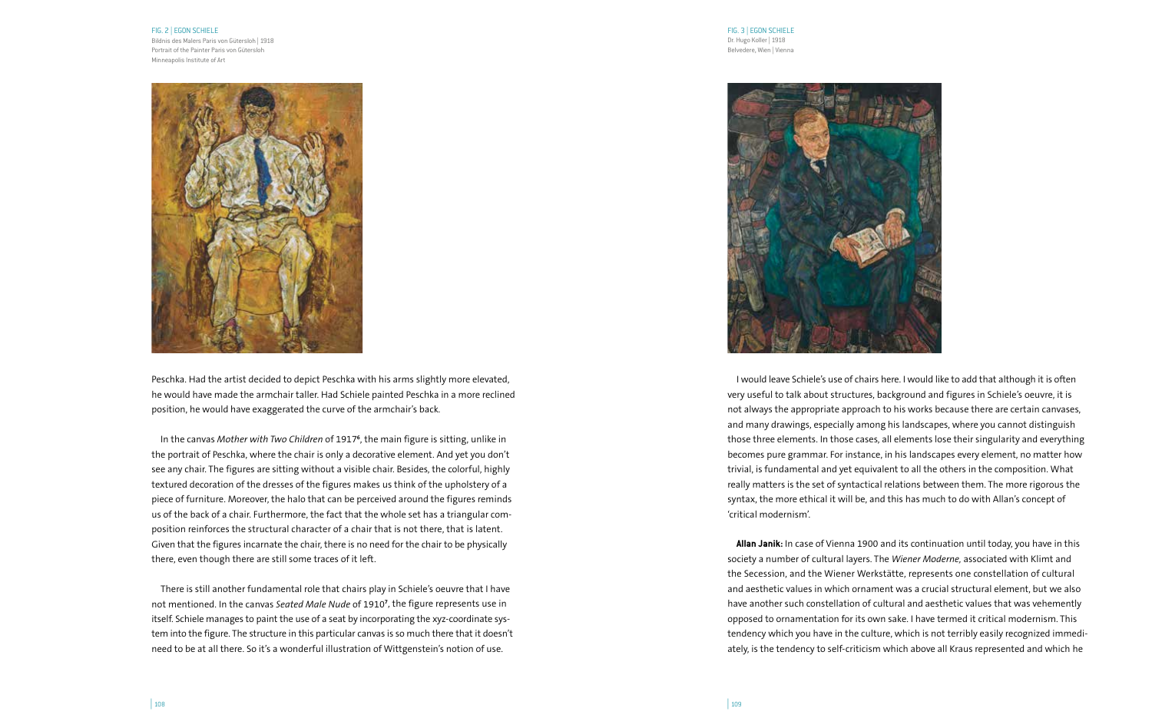### FIG. 2 | EGON SCHIELE

Bildnis des Malers Paris von Gütersloh | 1918 Portrait of the Painter Paris von Gütersloh Minneapolis Institute of Art



Peschka. Had the artist decided to depict Peschka with his arms slightly more elevated, he would have made the armchair taller. Had Schiele painted Peschka in a more reclined position, he would have exaggerated the curve of the armchair's back.

In the canvas *Mother with Two Children* of 1917**<sup>6</sup>** , the main figure is sitting, unlike in the portrait of Peschka, where the chair is only a decorative element. And yet you don't see any chair. The figures are sitting without a visible chair. Besides, the colorful, highly textured decoration of the dresses of the figures makes us think of the upholstery of a piece of furniture. Moreover, the halo that can be perceived around the figures reminds us of the back of a chair. Furthermore, the fact that the whole set has a triangular composition reinforces the structural character of a chair that is not there, that is latent. Given that the figures incarnate the chair, there is no need for the chair to be physically there, even though there are still some traces of it left.

There is still another fundamental role that chairs play in Schiele's oeuvre that I have not mentioned. In the canvas *Seated Male Nude* of 1910**<sup>7</sup>** , the figure represents use in itself. Schiele manages to paint the use of a seat by incorporating the xyz-coordinate system into the figure. The structure in this particular canvas is so much there that it doesn't need to be at all there. So it's a wonderful illustration of Wittgenstein's notion of use.

FIG. 3 | EGON SCHIELE Dr. Hugo Koller | 1918 Belvedere, Wien | Vienna



I would leave Schiele's use of chairs here. I would like to add that although it is often very useful to talk about structures, background and figures in Schiele's oeuvre, it is not always the appropriate approach to his works because there are certain canvases, and many drawings, especially among his landscapes, where you cannot distinguish those three elements. In those cases, all elements lose their singularity and everything becomes pure grammar. For instance, in his landscapes every element, no matter how trivial, is fundamental and yet equivalent to all the others in the composition. What really matters is the set of syntactical relations between them. The more rigorous the syntax, the more ethical it will be, and this has much to do with Allan's concept of 'critical modernism'.

**Allan Janik:** In case of Vienna 1900 and its continuation until today, you have in this society a number of cultural layers. The *Wiener Moderne,* associated with Klimt and the Secession, and the Wiener Werkstätte, represents one constellation of cultural and aesthetic values in which ornament was a crucial structural element, but we also have another such constellation of cultural and aesthetic values that was vehemently opposed to ornamentation for its own sake. I have termed it critical modernism. This tendency which you have in the culture, which is not terribly easily recognized immediately, is the tendency to self-criticism which above all Kraus represented and which he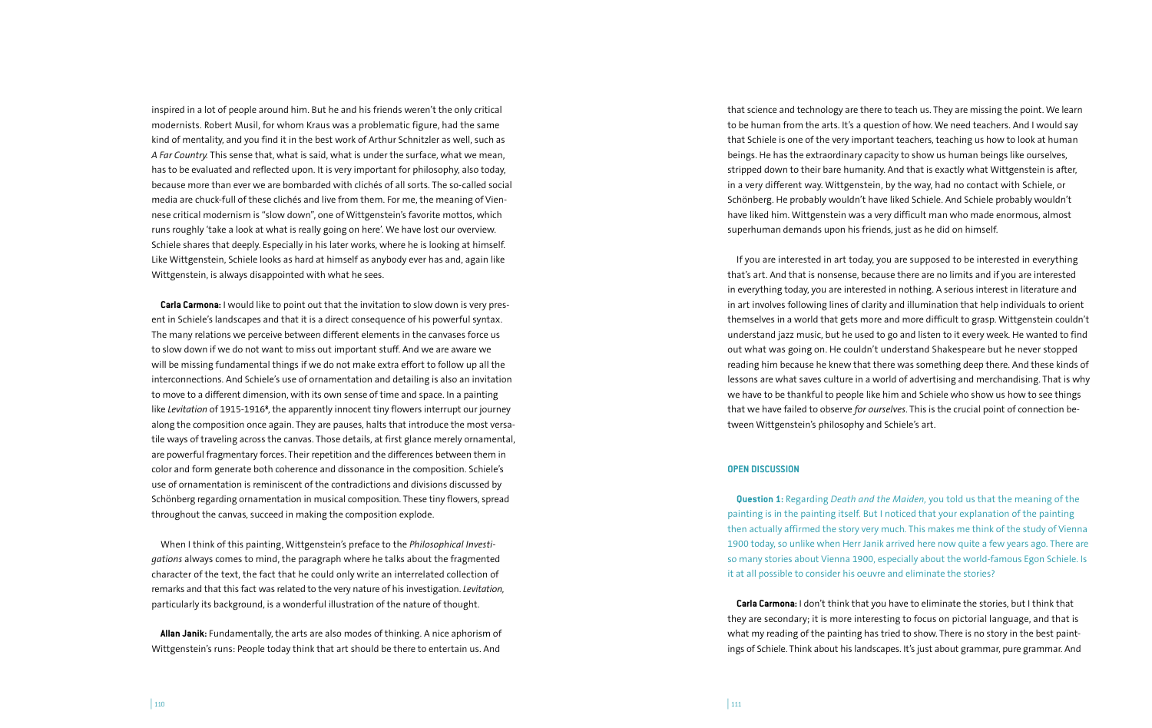inspired in a lot of people around him. But he and his friends weren't the only critical modernists. Robert Musil, for whom Kraus was a problematic figure, had the same kind of mentality, and you find it in the best work of Arthur Schnitzler as well, such as *A Far Country.* This sense that, what is said, what is under the surface, what we mean, has to be evaluated and reflected upon. It is very important for philosophy, also today, because more than ever we are bombarded with clichés of all sorts. The so-called social media are chuck-full of these clichés and live from them. For me, the meaning of Viennese critical modernism is "slow down", one of Wittgenstein's favorite mottos, which runs roughly 'take a look at what is really going on here'. We have lost our overview. Schiele shares that deeply. Especially in his later works, where he is looking at himself. Like Wittgenstein, Schiele looks as hard at himself as anybody ever has and, again like Wittgenstein, is always disappointed with what he sees.

**Carla Carmona:** I would like to point out that the invitation to slow down is very present in Schiele's landscapes and that it is a direct consequence of his powerful syntax. The many relations we perceive between different elements in the canvases force us to slow down if we do not want to miss out important stuff. And we are aware we will be missing fundamental things if we do not make extra effort to follow up all the interconnections. And Schiele's use of ornamentation and detailing is also an invitation to move to a different dimension, with its own sense of time and space. In a painting like *Levitation* of 1915-1916**<sup>8</sup>** , the apparently innocent tiny flowers interrupt our journey along the composition once again. They are pauses, halts that introduce the most versatile ways of traveling across the canvas. Those details, at first glance merely ornamental, are powerful fragmentary forces. Their repetition and the differences between them in color and form generate both coherence and dissonance in the composition. Schiele's use of ornamentation is reminiscent of the contradictions and divisions discussed by Schönberg regarding ornamentation in musical composition. These tiny flowers, spread throughout the canvas, succeed in making the composition explode.

When I think of this painting, Wittgenstein's preface to the *Philosophical Investigations* always comes to mind, the paragraph where he talks about the fragmented character of the text, the fact that he could only write an interrelated collection of remarks and that this fact was related to the very nature of his investigation. *Levitation,*  particularly its background, is a wonderful illustration of the nature of thought.

**Allan Janik:** Fundamentally, the arts are also modes of thinking. A nice aphorism of Wittgenstein's runs: People today think that art should be there to entertain us. And

that science and technology are there to teach us. They are missing the point. We learn to be human from the arts. It's a question of how. We need teachers. And I would say that Schiele is one of the very important teachers, teaching us how to look at human beings. He has the extraordinary capacity to show us human beings like ourselves, stripped down to their bare humanity. And that is exactly what Wittgenstein is after, in a very different way. Wittgenstein, by the way, had no contact with Schiele, or Schönberg. He probably wouldn't have liked Schiele. And Schiele probably wouldn't have liked him. Wittgenstein was a very difficult man who made enormous, almost superhuman demands upon his friends, just as he did on himself.

If you are interested in art today, you are supposed to be interested in everything that's art. And that is nonsense, because there are no limits and if you are interested in everything today, you are interested in nothing. A serious interest in literature and in art involves following lines of clarity and illumination that help individuals to orient themselves in a world that gets more and more difficult to grasp. Wittgenstein couldn't understand jazz music, but he used to go and listen to it every week. He wanted to find out what was going on. He couldn't understand Shakespeare but he never stopped reading him because he knew that there was something deep there. And these kinds of lessons are what saves culture in a world of advertising and merchandising. That is why we have to be thankful to people like him and Schiele who show us how to see things that we have failed to observe *for ourselves*. This is the crucial point of connection between Wittgenstein's philosophy and Schiele's art.

### **OPEN DISCUSSION**

**Question 1:** Regarding *Death and the Maiden,* you told us that the meaning of the painting is in the painting itself. But I noticed that your explanation of the painting then actually affirmed the story very much. This makes me think of the study of Vienna 1900 today, so unlike when Herr Janik arrived here now quite a few years ago. There are so many stories about Vienna 1900, especially about the world-famous Egon Schiele. Is it at all possible to consider his oeuvre and eliminate the stories?

**Carla Carmona:** I don't think that you have to eliminate the stories, but I think that they are secondary; it is more interesting to focus on pictorial language, and that is what my reading of the painting has tried to show. There is no story in the best paintings of Schiele. Think about his landscapes. It's just about grammar, pure grammar. And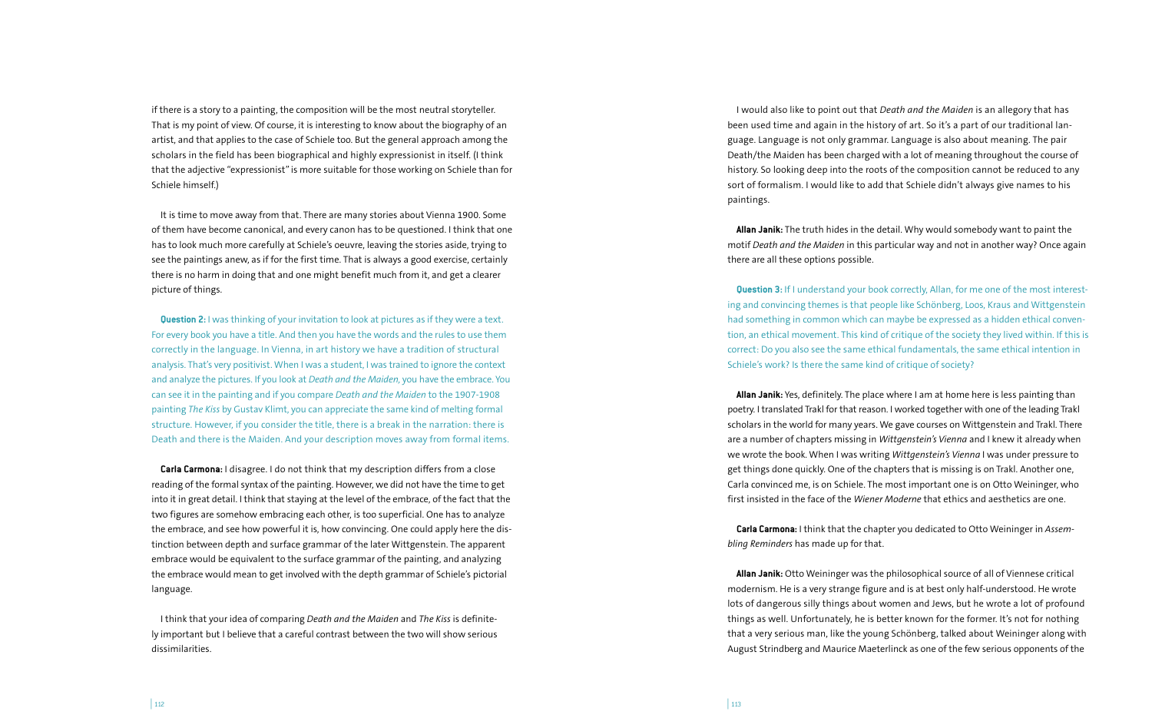if there is a story to a painting, the composition will be the most neutral storyteller. That is my point of view. Of course, it is interesting to know about the biography of an artist, and that applies to the case of Schiele too. But the general approach among the scholars in the field has been biographical and highly expressionist in itself. (I think that the adjective "expressionist" is more suitable for those working on Schiele than for Schiele himself.)

It is time to move away from that. There are many stories about Vienna 1900. Some of them have become canonical, and every canon has to be questioned. I think that one has to look much more carefully at Schiele's oeuvre, leaving the stories aside, trying to see the paintings anew, as if for the first time. That is always a good exercise, certainly there is no harm in doing that and one might benefit much from it, and get a clearer picture of things.

**Question 2:** I was thinking of your invitation to look at pictures as if they were a text. For every book you have a title. And then you have the words and the rules to use them correctly in the language. In Vienna, in art history we have a tradition of structural analysis. That's very positivist. When I was a student, I was trained to ignore the context and analyze the pictures. If you look at *Death and the Maiden,* you have the embrace. You can see it in the painting and if you compare *Death and the Maiden* to the 1907-1908 painting *The Kiss* by Gustav Klimt, you can appreciate the same kind of melting formal structure. However, if you consider the title, there is a break in the narration: there is Death and there is the Maiden. And your description moves away from formal items.

**Carla Carmona:** I disagree. I do not think that my description differs from a close reading of the formal syntax of the painting. However, we did not have the time to get into it in great detail. I think that staying at the level of the embrace, of the fact that the two figures are somehow embracing each other, is too superficial. One has to analyze the embrace, and see how powerful it is, how convincing. One could apply here the distinction between depth and surface grammar of the later Wittgenstein. The apparent embrace would be equivalent to the surface grammar of the painting, and analyzing the embrace would mean to get involved with the depth grammar of Schiele's pictorial language.

I think that your idea of comparing *Death and the Maiden* and *The Kiss* is definitely important but I believe that a careful contrast between the two will show serious dissimilarities.

I would also like to point out that *Death and the Maiden* is an allegory that has been used time and again in the history of art. So it's a part of our traditional language. Language is not only grammar. Language is also about meaning. The pair Death/the Maiden has been charged with a lot of meaning throughout the course of history. So looking deep into the roots of the composition cannot be reduced to any sort of formalism. I would like to add that Schiele didn't always give names to his paintings.

**Allan Janik:** The truth hides in the detail. Why would somebody want to paint the motif *Death and the Maiden* in this particular way and not in another way? Once again there are all these options possible.

**Question 3:** If I understand your book correctly, Allan, for me one of the most interesting and convincing themes is that people like Schönberg, Loos, Kraus and Wittgenstein had something in common which can maybe be expressed as a hidden ethical convention, an ethical movement. This kind of critique of the society they lived within. If this is correct: Do you also see the same ethical fundamentals, the same ethical intention in Schiele's work? Is there the same kind of critique of society?

**Allan Janik:** Yes, definitely. The place where I am at home here is less painting than poetry. I translated Trakl for that reason. I worked together with one of the leading Trakl scholars in the world for many years. We gave courses on Wittgenstein and Trakl. There are a number of chapters missing in *Wittgenstein's Vienna* and I knew it already when we wrote the book. When I was writing *Wittgenstein's Vienna* I was under pressure to get things done quickly. One of the chapters that is missing is on Trakl. Another one, Carla convinced me, is on Schiele. The most important one is on Otto Weininger, who first insisted in the face of the *Wiener Moderne* that ethics and aesthetics are one.

**Carla Carmona:** I think that the chapter you dedicated to Otto Weininger in *Assembling Reminders* has made up for that.

**Allan Janik:** Otto Weininger was the philosophical source of all of Viennese critical modernism. He is a very strange figure and is at best only half-understood. He wrote lots of dangerous silly things about women and Jews, but he wrote a lot of profound things as well. Unfortunately, he is better known for the former. It's not for nothing that a very serious man, like the young Schönberg, talked about Weininger along with August Strindberg and Maurice Maeterlinck as one of the few serious opponents of the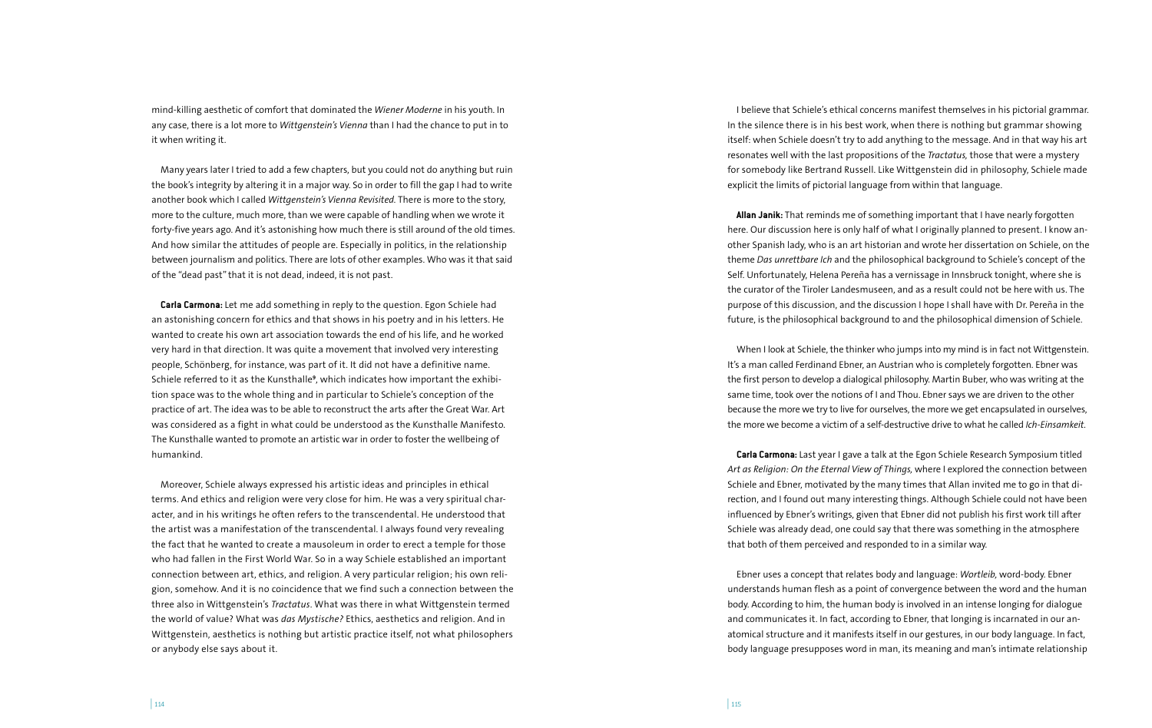mind-killing aesthetic of comfort that dominated the *Wiener Moderne* in his youth. In any case, there is a lot more to *Wittgenstein's Vienna* than I had the chance to put in to it when writing it.

Many years later I tried to add a few chapters, but you could not do anything but ruin the book's integrity by altering it in a major way. So in order to fill the gap I had to write another book which I called *Wittgenstein's Vienna Revisited.* There is more to the story, more to the culture, much more, than we were capable of handling when we wrote it forty-five years ago. And it's astonishing how much there is still around of the old times. And how similar the attitudes of people are. Especially in politics, in the relationship between journalism and politics. There are lots of other examples. Who was it that said of the "dead past" that it is not dead, indeed, it is not past.

**Carla Carmona:** Let me add something in reply to the question. Egon Schiele had an astonishing concern for ethics and that shows in his poetry and in his letters. He wanted to create his own art association towards the end of his life, and he worked very hard in that direction. It was quite a movement that involved very interesting people, Schönberg, for instance, was part of it. It did not have a definitive name. Schiele referred to it as the Kunsthalle**<sup>9</sup>** , which indicates how important the exhibition space was to the whole thing and in particular to Schiele's conception of the practice of art. The idea was to be able to reconstruct the arts after the Great War. Art was considered as a fight in what could be understood as the Kunsthalle Manifesto. The Kunsthalle wanted to promote an artistic war in order to foster the wellbeing of humankind.

Moreover, Schiele always expressed his artistic ideas and principles in ethical terms. And ethics and religion were very close for him. He was a very spiritual character, and in his writings he often refers to the transcendental. He understood that the artist was a manifestation of the transcendental. I always found very revealing the fact that he wanted to create a mausoleum in order to erect a temple for those who had fallen in the First World War. So in a way Schiele established an important connection between art, ethics, and religion. A very particular religion; his own religion, somehow. And it is no coincidence that we find such a connection between the three also in Wittgenstein's *Tractatus*. What was there in what Wittgenstein termed the world of value? What was *das Mystische?* Ethics, aesthetics and religion. And in Wittgenstein, aesthetics is nothing but artistic practice itself, not what philosophers or anybody else says about it.

I believe that Schiele's ethical concerns manifest themselves in his pictorial grammar. In the silence there is in his best work, when there is nothing but grammar showing itself: when Schiele doesn't try to add anything to the message. And in that way his art resonates well with the last propositions of the *Tractatus,* those that were a mystery for somebody like Bertrand Russell. Like Wittgenstein did in philosophy, Schiele made explicit the limits of pictorial language from within that language.

**Allan Janik:** That reminds me of something important that I have nearly forgotten here. Our discussion here is only half of what I originally planned to present. I know another Spanish lady, who is an art historian and wrote her dissertation on Schiele, on the theme *Das unrettbare Ich* and the philosophical background to Schiele's concept of the Self. Unfortunately, Helena Pereña has a vernissage in Innsbruck tonight, where she is the curator of the Tiroler Landesmuseen, and as a result could not be here with us. The purpose of this discussion, and the discussion I hope I shall have with Dr. Pereña in the future, is the philosophical background to and the philosophical dimension of Schiele.

When I look at Schiele, the thinker who jumps into my mind is in fact not Wittgenstein. It's a man called Ferdinand Ebner, an Austrian who is completely forgotten. Ebner was the first person to develop a dialogical philosophy. Martin Buber, who was writing at the same time, took over the notions of I and Thou. Ebner says we are driven to the other because the more we try to live for ourselves, the more we get encapsulated in ourselves, the more we become a victim of a self-destructive drive to what he called *Ich-Einsamkeit.* 

**Carla Carmona:** Last year I gave a talk at the Egon Schiele Research Symposium titled *Art as Religion: On the Eternal View of Things,* where I explored the connection between Schiele and Ebner, motivated by the many times that Allan invited me to go in that direction, and I found out many interesting things. Although Schiele could not have been influenced by Ebner's writings, given that Ebner did not publish his first work till after Schiele was already dead, one could say that there was something in the atmosphere that both of them perceived and responded to in a similar way.

Ebner uses a concept that relates body and language: *Wortleib,* word-body. Ebner understands human flesh as a point of convergence between the word and the human body. According to him, the human body is involved in an intense longing for dialogue and communicates it. In fact, according to Ebner, that longing is incarnated in our anatomical structure and it manifests itself in our gestures, in our body language. In fact, body language presupposes word in man, its meaning and man's intimate relationship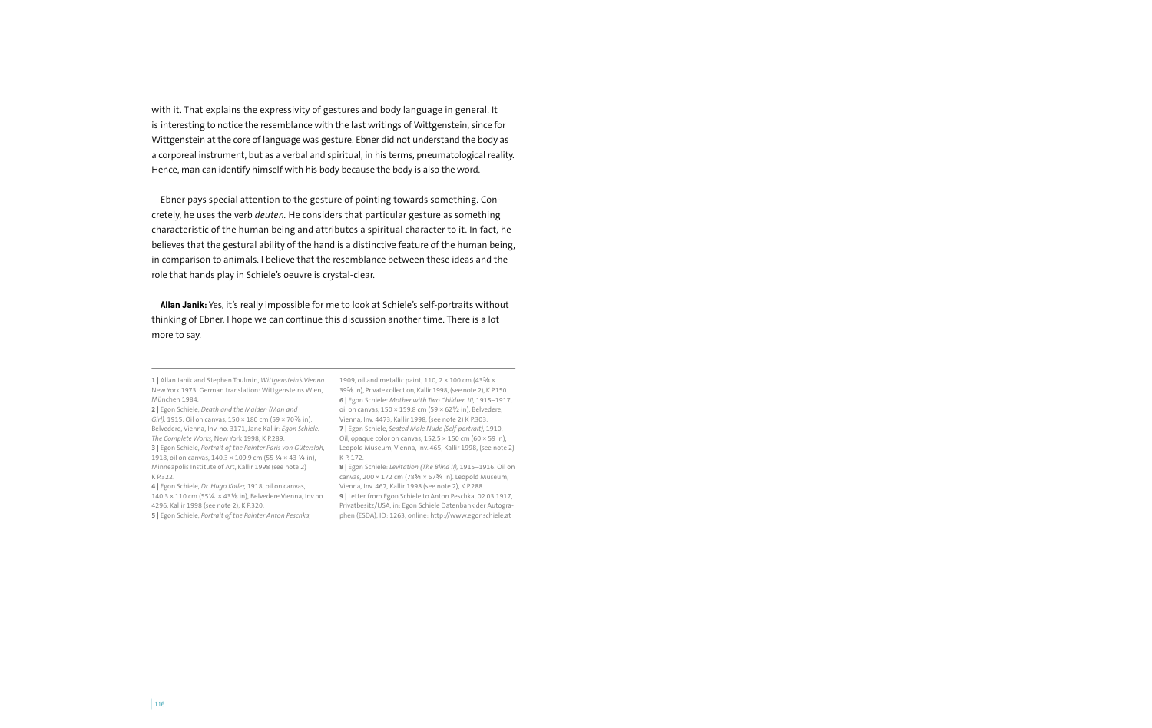with it. That explains the expressivity of gestures and body language in general. It is interesting to notice the resemblance with the last writings of Wittgenstein, since for Wittgenstein at the core of language was gesture. Ebner did not understand the body as a corporeal instrument, but as a verbal and spiritual, in his terms, pneumatological reality. Hence, man can identify himself with his body because the body is also the word.

Ebner pays special attention to the gesture of pointing towards something. Concretely, he uses the verb *deuten.* He considers that particular gesture as something characteristic of the human being and attributes a spiritual character to it. In fact, he believes that the gestural ability of the hand is a distinctive feature of the human being, in comparison to animals. I believe that the resemblance between these ideas and the role that hands play in Schiele's oeuvre is crystal-clear.

**Allan Janik:** Yes, it's really impossible for me to look at Schiele's self-portraits without thinking of Ebner. I hope we can continue this discussion another time. There is a lot more to say.

**1 |** Allan Janik and Stephen Toulmin, *Wittgenstein's Vienna.* 1909, oil and metallic paint, 110, 2 × 100 cm (43⅜ × New York 1973. German translation: Wittgensteins Wien, 39⅜ in), Private collection, Kallir 1998, (see note 2), K P.150. München 1984.

**2 |** Egon Schiele, *Death and the Maiden (Man and Girl),* 1915. Oil on canvas, 150 × 180 cm (59 × 70⅞ in). Belvedere, Vienna, Inv. no. 3171, Jane Kallir: *Egon Schiele.*  **7 |** Egon Schiele, *Seated Male Nude (Self-portrait),* 1910, *The Complete Works,* New York 1998, K P.289. **3 |** Egon Schiele, *Portrait of the Painter Paris von Gütersloh,*  Leopold Museum, Vienna, Inv. 465, Kallir 1998, (see note 2) 1918, oil on canvas, 140.3  $\times$  109.9 cm (55 ¼  $\times$  43 ¼ in), Minneapolis Institute of Art, Kallir 1998 (see note 2) K P.322.

**4 |** Egon Schiele, *Dr. Hugo Koller,* 1918, oil on canvas, 140.3 × 110 cm (55¼ × 43⅛ in), Belvedere Vienna, Inv.no. **9 |** Letter from Egon Schiele to Anton Peschka, 02.03.1917, 4296, Kallir 1998 (see note 2), K P.320. **5 |** Egon Schiele, *Portrait of the Painter Anton Peschka,* 

**6 |** Egon Schiele: *Mother with Two Children III,* 1915–1917, oil on canvas, 150 × 159.8 cm (59 × 62½ in), Belvedere, Vienna, Inv. 4473, Kallir 1998, (see note 2) K P.303. Oil, opaque color on canvas,  $152.5 \times 150$  cm (60  $\times$  59 in), K P. 172.

**8 |** Egon Schiele: *Levitation (The Blind II),* 1915–1916. Oil on canvas, 200  $\times$  172 cm (783/4  $\times$  673/4 in). Leopold Museum, Vienna, Inv. 467, Kallir 1998 (see note 2), K P.288. Privatbesitz/USA, in: Egon Schiele Datenbank der Autographen (ESDA), ID: 1263, online: http://www.egonschiele.at